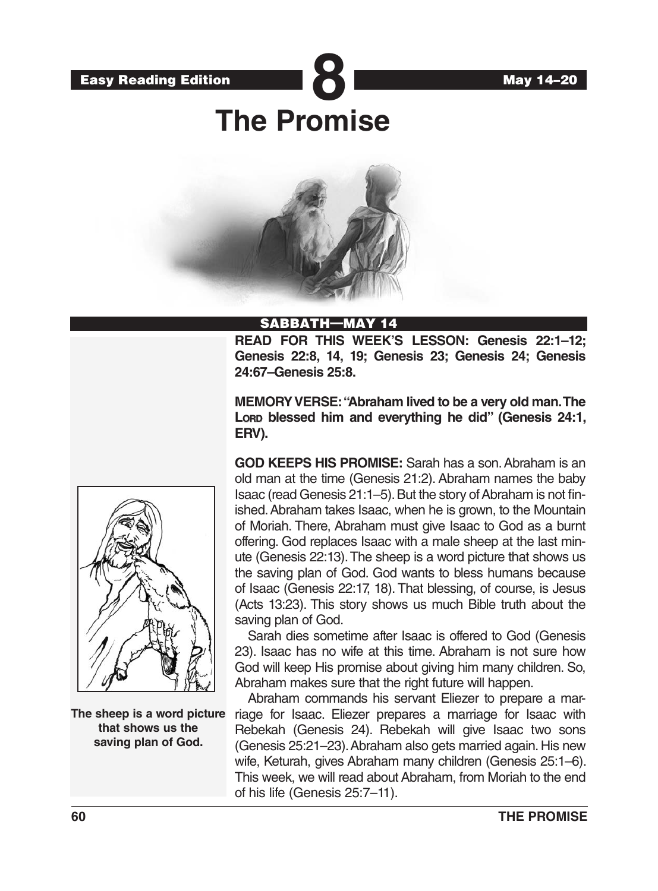

# **The Promise**



### SABBATH—MAY 14

**READ FOR THIS WEEK'S LESSON: Genesis 22:1–12; Genesis 22:8, 14, 19; Genesis 23; Genesis 24; Genesis 24:67–Genesis 25:8.** 

**MEMORY VERSE: "Abraham lived to be a very old man. The**  Lorap blessed him and everything he did" (Genesis 24:1, **ERV).**

**GOD KEEPS HIS PROMISE:** Sarah has a son. Abraham is an old man at the time (Genesis 21:2). Abraham names the baby Isaac (read Genesis 21:1–5). But the story of Abraham is not finished. Abraham takes Isaac, when he is grown, to the Mountain of Moriah. There, Abraham must give Isaac to God as a burnt offering. God replaces Isaac with a male sheep at the last minute (Genesis 22:13). The sheep is a word picture that shows us the saving plan of God. God wants to bless humans because of Isaac (Genesis 22:17, 18). That blessing, of course, is Jesus (Acts 13:23). This story shows us much Bible truth about the saving plan of God.

Sarah dies sometime after Isaac is offered to God (Genesis 23). Isaac has no wife at this time. Abraham is not sure how God will keep His promise about giving him many children. So, Abraham makes sure that the right future will happen.

Abraham commands his servant Eliezer to prepare a marriage for Isaac. Eliezer prepares a marriage for Isaac with Rebekah (Genesis 24). Rebekah will give Isaac two sons (Genesis 25:21–23). Abraham also gets married again. His new wife, Keturah, gives Abraham many children (Genesis 25:1–6). This week, we will read about Abraham, from Moriah to the end of his life (Genesis 25:7–11).



**The sheep is a word picture that shows us the saving plan of God.**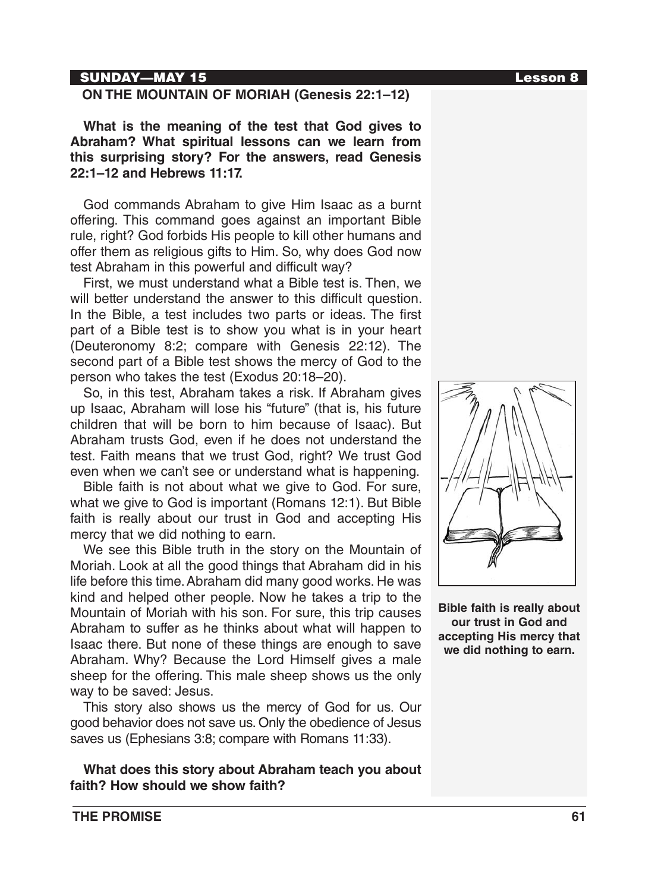### SUNDAY—MAY 15 Lesson 8

### **ON THE MOUNTAIN OF MORIAH (Genesis 22:1–12)**

**What is the meaning of the test that God gives to Abraham? What spiritual lessons can we learn from this surprising story? For the answers, read Genesis 22:1–12 and Hebrews 11:17.**

God commands Abraham to give Him Isaac as a burnt offering. This command goes against an important Bible rule, right? God forbids His people to kill other humans and offer them as religious gifts to Him. So, why does God now test Abraham in this powerful and difficult way?

First, we must understand what a Bible test is. Then, we will better understand the answer to this difficult question. In the Bible, a test includes two parts or ideas. The first part of a Bible test is to show you what is in your heart (Deuteronomy 8:2; compare with Genesis 22:12). The second part of a Bible test shows the mercy of God to the person who takes the test (Exodus 20:18–20).

So, in this test, Abraham takes a risk. If Abraham gives up Isaac, Abraham will lose his "future" (that is, his future children that will be born to him because of Isaac). But Abraham trusts God, even if he does not understand the test. Faith means that we trust God, right? We trust God even when we can't see or understand what is happening.

Bible faith is not about what we give to God. For sure, what we give to God is important (Romans 12:1). But Bible faith is really about our trust in God and accepting His mercy that we did nothing to earn.

We see this Bible truth in the story on the Mountain of Moriah. Look at all the good things that Abraham did in his life before this time. Abraham did many good works. He was kind and helped other people. Now he takes a trip to the Mountain of Moriah with his son. For sure, this trip causes Abraham to suffer as he thinks about what will happen to Isaac there. But none of these things are enough to save Abraham. Why? Because the Lord Himself gives a male sheep for the offering. This male sheep shows us the only way to be saved: Jesus.

This story also shows us the mercy of God for us. Our good behavior does not save us. Only the obedience of Jesus saves us (Ephesians 3:8; compare with Romans 11:33).

**What does this story about Abraham teach you about faith? How should we show faith?**



**Bible faith is really about our trust in God and accepting His mercy that we did nothing to earn.**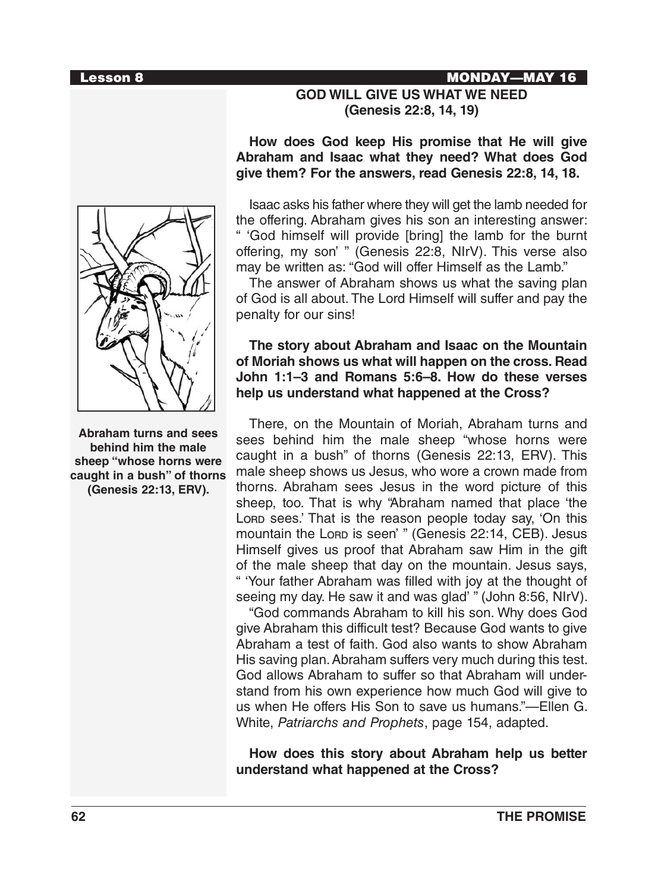**Abraham turns and sees behind him the male sheep "whose horns were caught in a bush" of thorns (Genesis 22:13, ERV).**

# **GOD WILL GIVE US WHAT WE NEED (Genesis 22:8, 14, 19)**

# **How does God keep His promise that He will give Abraham and Isaac what they need? What does God give them? For the answers, read Genesis 22:8, 14, 18.**

Isaac asks his father where they will get the lamb needed for the offering. Abraham gives his son an interesting answer: " 'God himself will provide [bring] the lamb for the burnt offering, my son' " (Genesis 22:8, NIrV). This verse also may be written as: "God will offer Himself as the Lamb."

The answer of Abraham shows us what the saving plan of God is all about. The Lord Himself will suffer and pay the penalty for our sins!

# **The story about Abraham and Isaac on the Mountain of Moriah shows us what will happen on the cross. Read John 1:1–3 and Romans 5:6–8. How do these verses help us understand what happened at the Cross?**

There, on the Mountain of Moriah, Abraham turns and sees behind him the male sheep "whose horns were caught in a bush" of thorns (Genesis 22:13, ERV). This male sheep shows us Jesus, who wore a crown made from thorns. Abraham sees Jesus in the word picture of this sheep, too. That is why "Abraham named that place 'the Lora sees.' That is the reason people today say, 'On this mountain the Lorp is seen' " (Genesis 22:14, CEB). Jesus Himself gives us proof that Abraham saw Him in the gift of the male sheep that day on the mountain. Jesus says, " 'Your father Abraham was filled with joy at the thought of seeing my day. He saw it and was glad' " (John 8:56, NIrV).

"God commands Abraham to kill his son. Why does God give Abraham this difficult test? Because God wants to give Abraham a test of faith. God also wants to show Abraham His saving plan. Abraham suffers very much during this test. God allows Abraham to suffer so that Abraham will understand from his own experience how much God will give to us when He offers His Son to save us humans."—Ellen G. White, *Patriarchs and Prophets*, page 154, adapted.

**How does this story about Abraham help us better understand what happened at the Cross?**

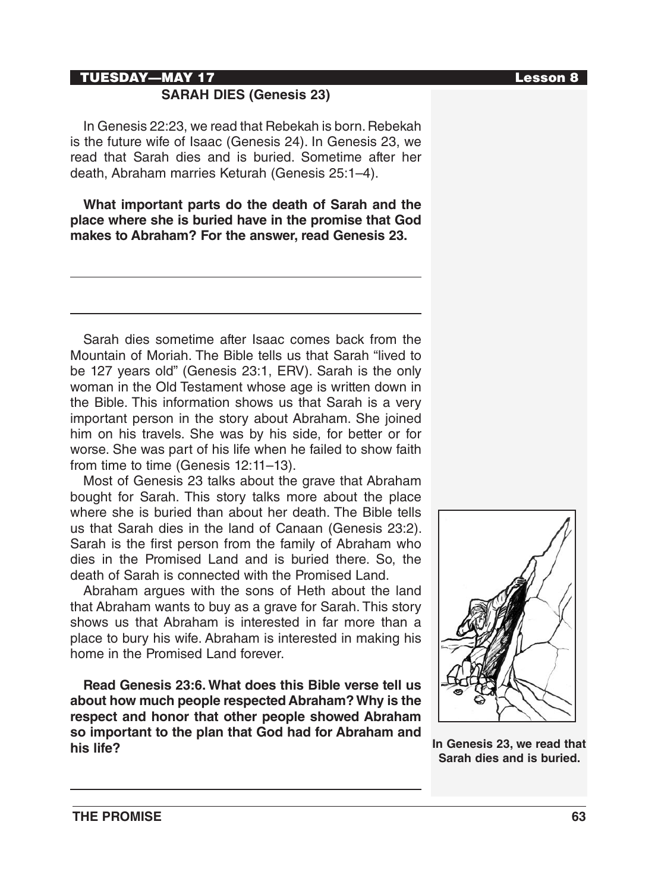### TUESDAY—MAY 17 Lesson 8

# **SARAH DIES (Genesis 23)**

In Genesis 22:23, we read that Rebekah is born. Rebekah is the future wife of Isaac (Genesis 24). In Genesis 23, we read that Sarah dies and is buried. Sometime after her death, Abraham marries Keturah (Genesis 25:1–4).

**What important parts do the death of Sarah and the place where she is buried have in the promise that God makes to Abraham? For the answer, read Genesis 23.**

Sarah dies sometime after Isaac comes back from the Mountain of Moriah. The Bible tells us that Sarah "lived to be 127 years old" (Genesis 23:1, ERV). Sarah is the only woman in the Old Testament whose age is written down in the Bible. This information shows us that Sarah is a very important person in the story about Abraham. She joined him on his travels. She was by his side, for better or for worse. She was part of his life when he failed to show faith from time to time (Genesis 12:11-13).

Most of Genesis 23 talks about the grave that Abraham bought for Sarah. This story talks more about the place where she is buried than about her death. The Bible tells us that Sarah dies in the land of Canaan (Genesis 23:2). Sarah is the first person from the family of Abraham who dies in the Promised Land and is buried there. So, the death of Sarah is connected with the Promised Land.

Abraham argues with the sons of Heth about the land that Abraham wants to buy as a grave for Sarah. This story shows us that Abraham is interested in far more than a place to bury his wife. Abraham is interested in making his home in the Promised Land forever.

**Read Genesis 23:6. What does this Bible verse tell us about how much people respected Abraham? Why is the respect and honor that other people showed Abraham so important to the plan that God had for Abraham and his life? In Genesis 23, we read that** 



**Sarah dies and is buried.**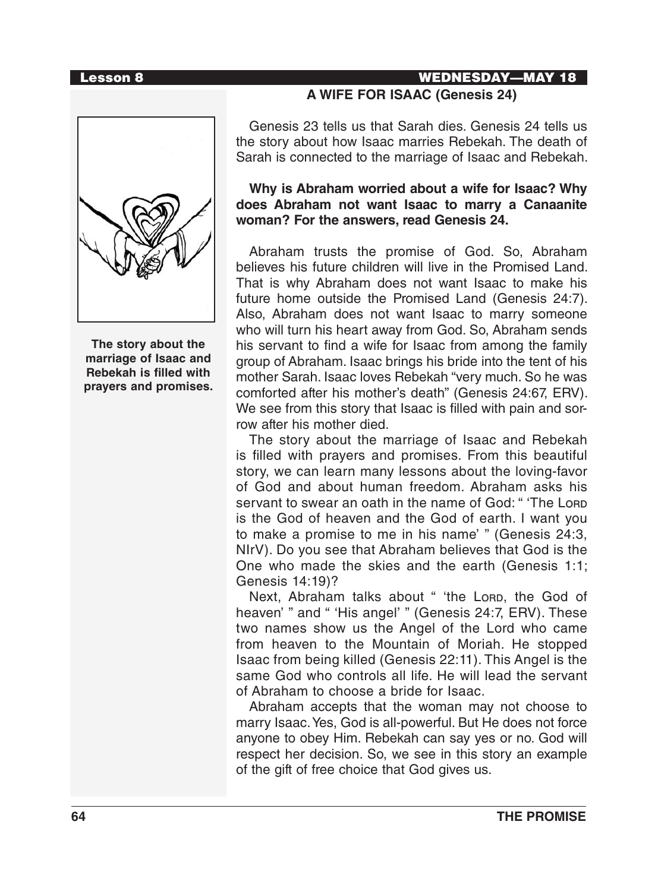### Lesson 8 WEDNESDAY—MAY 18



**The story about the marriage of Isaac and Rebekah is filled with prayers and promises.**

# **A WIFE FOR ISAAC (Genesis 24)**

Genesis 23 tells us that Sarah dies. Genesis 24 tells us the story about how Isaac marries Rebekah. The death of Sarah is connected to the marriage of Isaac and Rebekah.

### **Why is Abraham worried about a wife for Isaac? Why does Abraham not want Isaac to marry a Canaanite woman? For the answers, read Genesis 24.**

Abraham trusts the promise of God. So, Abraham believes his future children will live in the Promised Land. That is why Abraham does not want Isaac to make his future home outside the Promised Land (Genesis 24:7). Also, Abraham does not want Isaac to marry someone who will turn his heart away from God. So, Abraham sends his servant to find a wife for Isaac from among the family group of Abraham. Isaac brings his bride into the tent of his mother Sarah. Isaac loves Rebekah "very much. So he was comforted after his mother's death" (Genesis 24:67, ERV). We see from this story that Isaac is filled with pain and sorrow after his mother died.

The story about the marriage of Isaac and Rebekah is filled with prayers and promises. From this beautiful story, we can learn many lessons about the loving-favor of God and about human freedom. Abraham asks his servant to swear an oath in the name of God: " 'The Lord is the God of heaven and the God of earth. I want you to make a promise to me in his name' " (Genesis 24:3, NIrV). Do you see that Abraham believes that God is the One who made the skies and the earth (Genesis 1:1; Genesis 14:19)?

Next, Abraham talks about " 'the Lorp, the God of heaven' " and " 'His angel' " (Genesis 24:7, ERV). These two names show us the Angel of the Lord who came from heaven to the Mountain of Moriah. He stopped Isaac from being killed (Genesis 22:11). This Angel is the same God who controls all life. He will lead the servant of Abraham to choose a bride for Isaac.

Abraham accepts that the woman may not choose to marry Isaac. Yes, God is all-powerful. But He does not force anyone to obey Him. Rebekah can say yes or no. God will respect her decision. So, we see in this story an example of the gift of free choice that God gives us.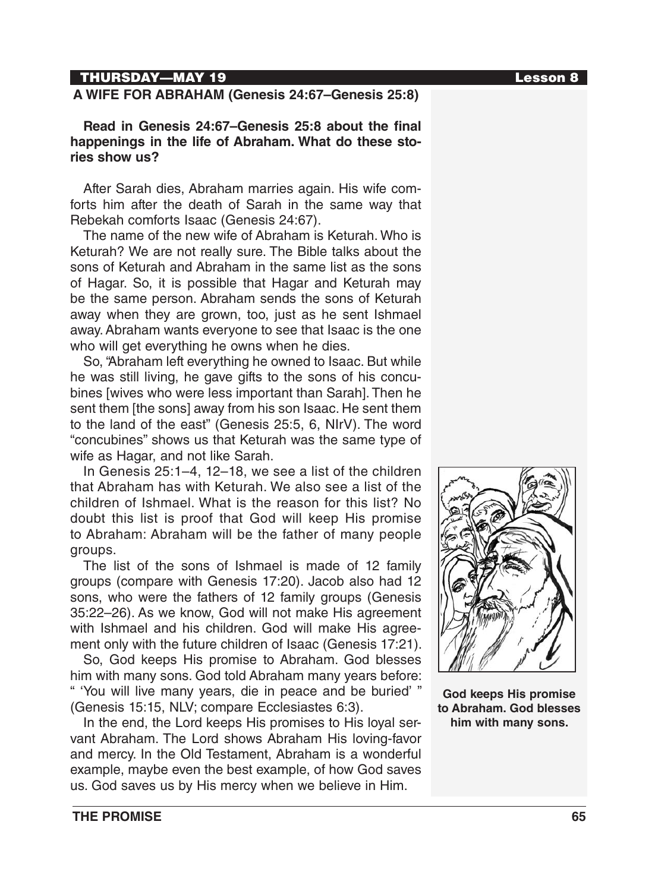# THURSDAY—MAY 19 Lesson 8

# **A WIFE FOR ABRAHAM (Genesis 24:67–Genesis 25:8)**

**Read in Genesis 24:67–Genesis 25:8 about the final happenings in the life of Abraham. What do these stories show us?**

After Sarah dies, Abraham marries again. His wife comforts him after the death of Sarah in the same way that Rebekah comforts Isaac (Genesis 24:67).

The name of the new wife of Abraham is Keturah. Who is Keturah? We are not really sure. The Bible talks about the sons of Keturah and Abraham in the same list as the sons of Hagar. So, it is possible that Hagar and Keturah may be the same person. Abraham sends the sons of Keturah away when they are grown, too, just as he sent Ishmael away. Abraham wants everyone to see that Isaac is the one who will get everything he owns when he dies.

So, "Abraham left everything he owned to Isaac. But while he was still living, he gave gifts to the sons of his concubines [wives who were less important than Sarah]. Then he sent them [the sons] away from his son Isaac. He sent them to the land of the east" (Genesis 25:5, 6, NIrV). The word "concubines" shows us that Keturah was the same type of wife as Hagar, and not like Sarah.

In Genesis 25:1–4, 12–18, we see a list of the children that Abraham has with Keturah. We also see a list of the children of Ishmael. What is the reason for this list? No doubt this list is proof that God will keep His promise to Abraham: Abraham will be the father of many people groups.

The list of the sons of Ishmael is made of 12 family groups (compare with Genesis 17:20). Jacob also had 12 sons, who were the fathers of 12 family groups (Genesis 35:22–26). As we know, God will not make His agreement with Ishmael and his children. God will make His agreement only with the future children of Isaac (Genesis 17:21).

So, God keeps His promise to Abraham. God blesses him with many sons. God told Abraham many years before: " 'You will live many years, die in peace and be buried' " (Genesis 15:15, NLV; compare Ecclesiastes 6:3).

In the end, the Lord keeps His promises to His loyal servant Abraham. The Lord shows Abraham His loving-favor and mercy. In the Old Testament, Abraham is a wonderful example, maybe even the best example, of how God saves us. God saves us by His mercy when we believe in Him.



**God keeps His promise to Abraham. God blesses him with many sons.**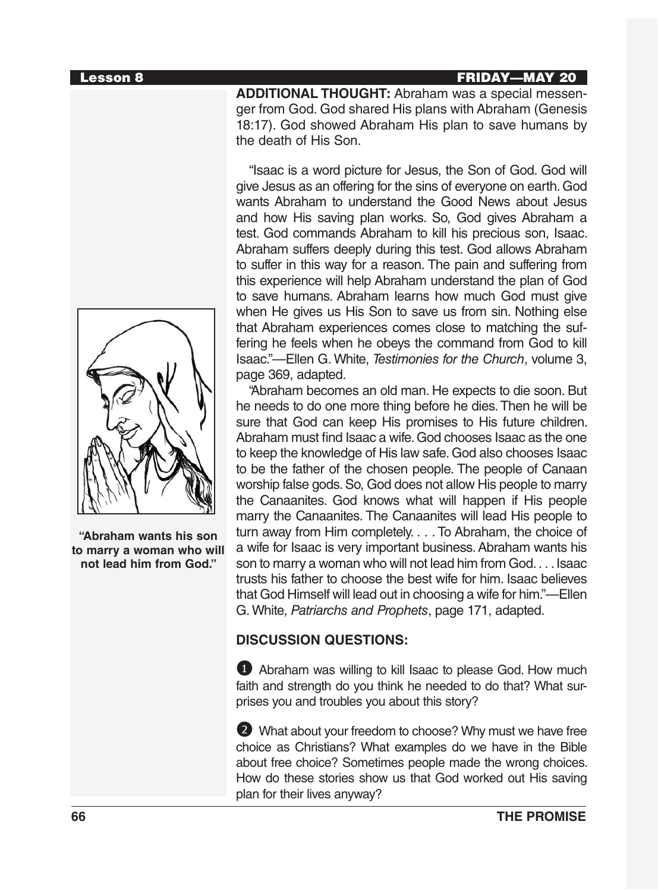### Lesson 8 FRIDAY—MAY 20

**ADDITIONAL THOUGHT:** Abraham was a special messenger from God. God shared His plans with Abraham (Genesis 18:17). God showed Abraham His plan to save humans by the death of His Son.

"Isaac is a word picture for Jesus, the Son of God. God will give Jesus as an offering for the sins of everyone on earth. God wants Abraham to understand the Good News about Jesus and how His saving plan works. So, God gives Abraham a test. God commands Abraham to kill his precious son, Isaac. Abraham suffers deeply during this test. God allows Abraham to suffer in this way for a reason. The pain and suffering from this experience will help Abraham understand the plan of God to save humans. Abraham learns how much God must give when He gives us His Son to save us from sin. Nothing else that Abraham experiences comes close to matching the suffering he feels when he obeys the command from God to kill Isaac."—Ellen G. White, *Testimonies for the Church*, volume 3, page 369, adapted.

"Abraham becomes an old man. He expects to die soon. But he needs to do one more thing before he dies. Then he will be sure that God can keep His promises to His future children. Abraham must find Isaac a wife. God chooses Isaac as the one to keep the knowledge of His law safe. God also chooses Isaac to be the father of the chosen people. The people of Canaan worship false gods. So, God does not allow His people to marry the Canaanites. God knows what will happen if His people marry the Canaanites. The Canaanites will lead His people to turn away from Him completely. . . . To Abraham, the choice of a wife for Isaac is very important business. Abraham wants his son to marry a woman who will not lead him from God. . . . Isaac trusts his father to choose the best wife for him. Isaac believes that God Himself will lead out in choosing a wife for him."—Ellen G. White, *Patriarchs and Prophets*, page 171, adapted.

# **DISCUSSION QUESTIONS:**

1 Abraham was willing to kill Isaac to please God. How much faith and strength do you think he needed to do that? What surprises you and troubles you about this story?

2 What about your freedom to choose? Why must we have free choice as Christians? What examples do we have in the Bible about free choice? Sometimes people made the wrong choices. How do these stories show us that God worked out His saving plan for their lives anyway?



**"Abraham wants his son to marry a woman who will not lead him from God."**